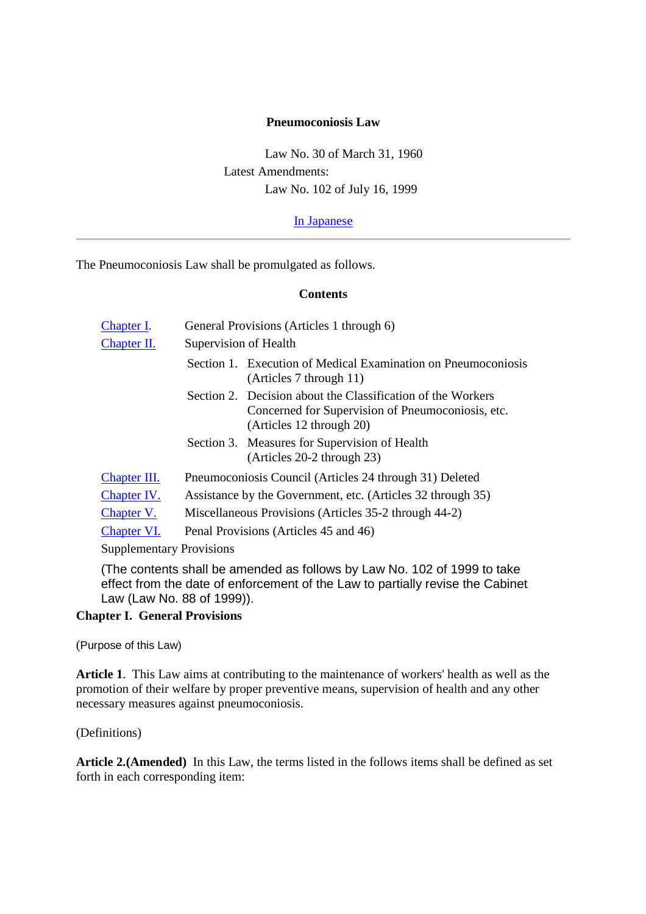#### **Pneumoconiosis Law**

Law No. 30 of March 31, 1960 Latest Amendments: Law No. 102 of July 16, 1999

In Japanese

The Pneumoconiosis Law shall be promulgated as follows.

#### **Contents**

| <b>Chapter I.</b>               | General Provisions (Articles 1 through 6)                   |                                                                                                                                              |  |
|---------------------------------|-------------------------------------------------------------|----------------------------------------------------------------------------------------------------------------------------------------------|--|
| Chapter II.                     | Supervision of Health                                       |                                                                                                                                              |  |
|                                 |                                                             | Section 1. Execution of Medical Examination on Pneumoconiosis<br>(Articles 7 through 11)                                                     |  |
|                                 |                                                             | Section 2. Decision about the Classification of the Workers<br>Concerned for Supervision of Pneumoconiosis, etc.<br>(Articles 12 through 20) |  |
|                                 |                                                             | Section 3. Measures for Supervision of Health<br>(Articles 20-2 through 23)                                                                  |  |
| Chapter III.                    | Pneumoconiosis Council (Articles 24 through 31) Deleted     |                                                                                                                                              |  |
| Chapter IV.                     | Assistance by the Government, etc. (Articles 32 through 35) |                                                                                                                                              |  |
| Chapter V.                      | Miscellaneous Provisions (Articles 35-2 through 44-2)       |                                                                                                                                              |  |
| Chapter VI.                     | Penal Provisions (Articles 45 and 46)                       |                                                                                                                                              |  |
| <b>Supplementary Provisions</b> |                                                             |                                                                                                                                              |  |

(The contents shall be amended as follows by Law No. 102 of 1999 to take effect from the date of enforcement of the Law to partially revise the Cabinet Law (Law No. 88 of 1999)).

#### **Chapter I. General Provisions**

(Purpose of this Law)

**Article 1**. This Law aims at contributing to the maintenance of workers' health as well as the promotion of their welfare by proper preventive means, supervision of health and any other necessary measures against pneumoconiosis.

(Definitions)

**Article 2.(Amended)** In this Law, the terms listed in the follows items shall be defined as set forth in each corresponding item: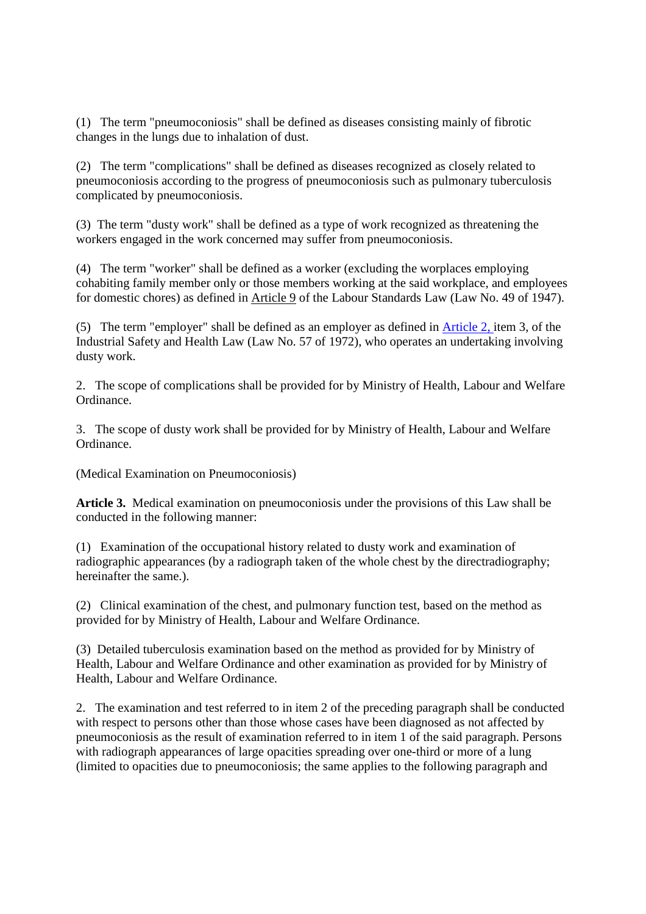(1) The term "pneumoconiosis" shall be defined as diseases consisting mainly of fibrotic changes in the lungs due to inhalation of dust.

(2) The term "complications" shall be defined as diseases recognized as closely related to pneumoconiosis according to the progress of pneumoconiosis such as pulmonary tuberculosis complicated by pneumoconiosis.

(3) The term "dusty work" shall be defined as a type of work recognized as threatening the workers engaged in the work concerned may suffer from pneumoconiosis.

(4) The term "worker" shall be defined as a worker (excluding the worplaces employing cohabiting family member only or those members working at the said workplace, and employees for domestic chores) as defined in Article 9 of the Labour Standards Law (Law No. 49 of 1947).

(5) The term "employer" shall be defined as an employer as defined in Article 2, item 3, of the Industrial Safety and Health Law (Law No. 57 of 1972), who operates an undertaking involving dusty work.

2. The scope of complications shall be provided for by Ministry of Health, Labour and Welfare Ordinance.

3. The scope of dusty work shall be provided for by Ministry of Health, Labour and Welfare Ordinance.

(Medical Examination on Pneumoconiosis)

**Article 3.** Medical examination on pneumoconiosis under the provisions of this Law shall be conducted in the following manner:

(1) Examination of the occupational history related to dusty work and examination of radiographic appearances (by a radiograph taken of the whole chest by the directradiography; hereinafter the same.).

(2) Clinical examination of the chest, and pulmonary function test, based on the method as provided for by Ministry of Health, Labour and Welfare Ordinance.

(3) Detailed tuberculosis examination based on the method as provided for by Ministry of Health, Labour and Welfare Ordinance and other examination as provided for by Ministry of Health, Labour and Welfare Ordinance.

2. The examination and test referred to in item 2 of the preceding paragraph shall be conducted with respect to persons other than those whose cases have been diagnosed as not affected by pneumoconiosis as the result of examination referred to in item 1 of the said paragraph. Persons with radiograph appearances of large opacities spreading over one-third or more of a lung (limited to opacities due to pneumoconiosis; the same applies to the following paragraph and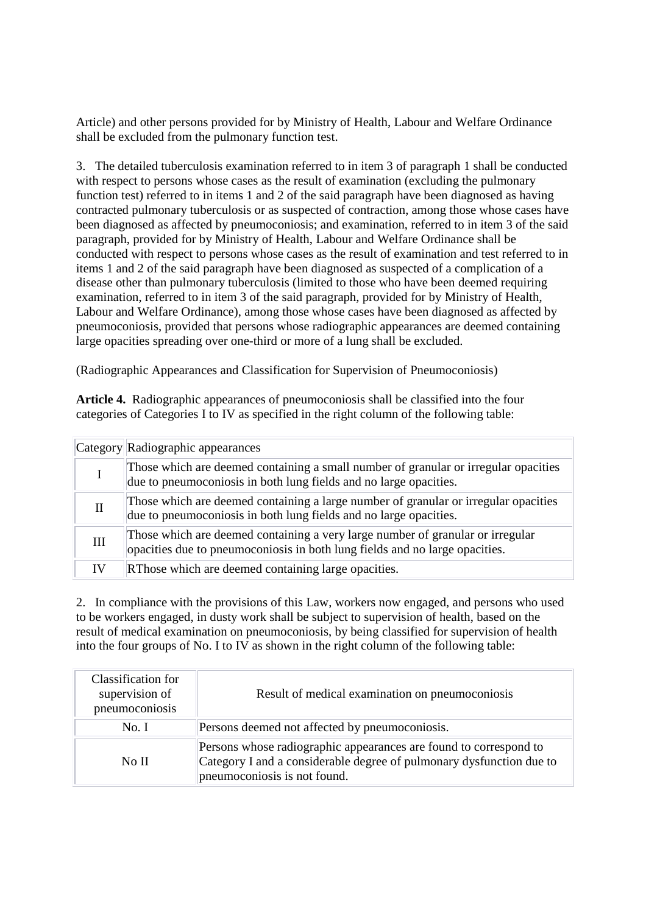Article) and other persons provided for by Ministry of Health, Labour and Welfare Ordinance shall be excluded from the pulmonary function test.

3. The detailed tuberculosis examination referred to in item 3 of paragraph 1 shall be conducted with respect to persons whose cases as the result of examination (excluding the pulmonary function test) referred to in items 1 and 2 of the said paragraph have been diagnosed as having contracted pulmonary tuberculosis or as suspected of contraction, among those whose cases have been diagnosed as affected by pneumoconiosis; and examination, referred to in item 3 of the said paragraph, provided for by Ministry of Health, Labour and Welfare Ordinance shall be conducted with respect to persons whose cases as the result of examination and test referred to in items 1 and 2 of the said paragraph have been diagnosed as suspected of a complication of a disease other than pulmonary tuberculosis (limited to those who have been deemed requiring examination, referred to in item 3 of the said paragraph, provided for by Ministry of Health, Labour and Welfare Ordinance), among those whose cases have been diagnosed as affected by pneumoconiosis, provided that persons whose radiographic appearances are deemed containing large opacities spreading over one-third or more of a lung shall be excluded.

(Radiographic Appearances and Classification for Supervision of Pneumoconiosis)

**Article 4.** Radiographic appearances of pneumoconiosis shall be classified into the four categories of Categories I to IV as specified in the right column of the following table:

|              | Category Radiographic appearances                                                                                                                             |
|--------------|---------------------------------------------------------------------------------------------------------------------------------------------------------------|
|              | Those which are deemed containing a small number of granular or irregular opacities<br>due to pneumoconiosis in both lung fields and no large opacities.      |
| $\mathbf{H}$ | Those which are deemed containing a large number of granular or irregular opacities<br>due to pneumoconiosis in both lung fields and no large opacities.      |
| Ш            | Those which are deemed containing a very large number of granular or irregular<br>opacities due to pneumoconiosis in both lung fields and no large opacities. |
|              | RThose which are deemed containing large opacities.                                                                                                           |

2. In compliance with the provisions of this Law, workers now engaged, and persons who used to be workers engaged, in dusty work shall be subject to supervision of health, based on the result of medical examination on pneumoconiosis, by being classified for supervision of health into the four groups of No. I to IV as shown in the right column of the following table:

| Classification for<br>supervision of<br>pneumoconiosis | Result of medical examination on pneumoconiosis                                                                                                                           |
|--------------------------------------------------------|---------------------------------------------------------------------------------------------------------------------------------------------------------------------------|
| No. I                                                  | Persons deemed not affected by pneumoconiosis.                                                                                                                            |
| No II                                                  | Persons whose radiographic appearances are found to correspond to<br>Category I and a considerable degree of pulmonary dysfunction due to<br>pneumoconiosis is not found. |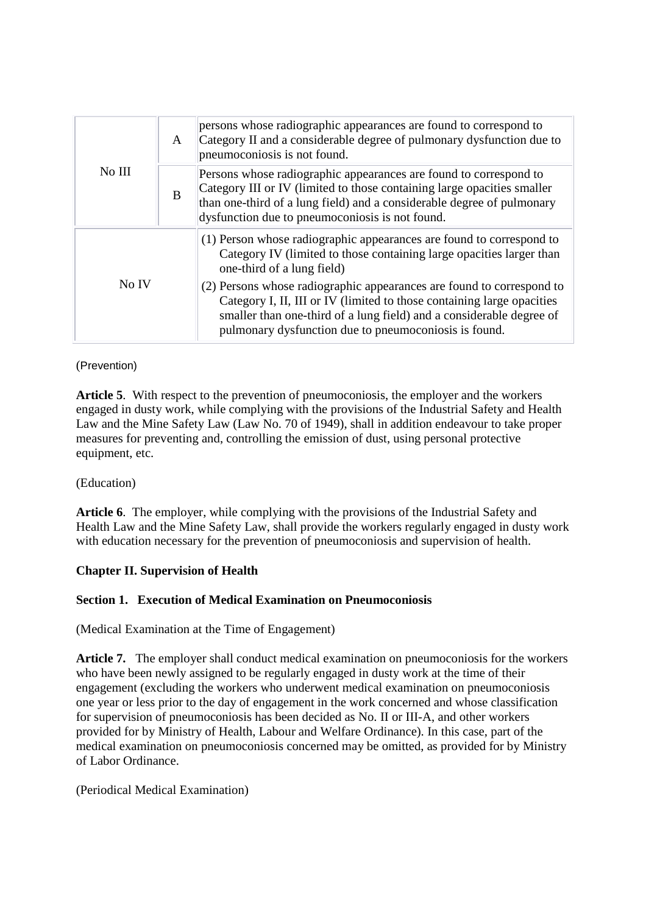| No III | $\mathsf{A}$ | persons whose radiographic appearances are found to correspond to<br>Category II and a considerable degree of pulmonary dysfunction due to<br>pneumoconiosis is not found.                                                                                                       |
|--------|--------------|----------------------------------------------------------------------------------------------------------------------------------------------------------------------------------------------------------------------------------------------------------------------------------|
|        | B            | Persons whose radiographic appearances are found to correspond to<br>Category III or IV (limited to those containing large opacities smaller<br>than one-third of a lung field) and a considerable degree of pulmonary<br>dysfunction due to pneumoconiosis is not found.        |
| No IV  |              | (1) Person whose radiographic appearances are found to correspond to<br>Category IV (limited to those containing large opacities larger than<br>one-third of a lung field)                                                                                                       |
|        |              | (2) Persons whose radiographic appearances are found to correspond to<br>Category I, II, III or IV (limited to those containing large opacities<br>smaller than one-third of a lung field) and a considerable degree of<br>pulmonary dysfunction due to pneumoconiosis is found. |

(Prevention)

**Article 5**. With respect to the prevention of pneumoconiosis, the employer and the workers engaged in dusty work, while complying with the provisions of the Industrial Safety and Health Law and the Mine Safety Law (Law No. 70 of 1949), shall in addition endeavour to take proper measures for preventing and, controlling the emission of dust, using personal protective equipment, etc.

# (Education)

**Article 6**. The employer, while complying with the provisions of the Industrial Safety and Health Law and the Mine Safety Law, shall provide the workers regularly engaged in dusty work with education necessary for the prevention of pneumoconiosis and supervision of health.

# **Chapter II. Supervision of Health**

#### **Section 1. Execution of Medical Examination on Pneumoconiosis**

(Medical Examination at the Time of Engagement)

Article 7. The employer shall conduct medical examination on pneumoconiosis for the workers who have been newly assigned to be regularly engaged in dusty work at the time of their engagement (excluding the workers who underwent medical examination on pneumoconiosis one year or less prior to the day of engagement in the work concerned and whose classification for supervision of pneumoconiosis has been decided as No. II or III-A, and other workers provided for by Ministry of Health, Labour and Welfare Ordinance). In this case, part of the medical examination on pneumoconiosis concerned may be omitted, as provided for by Ministry of Labor Ordinance.

(Periodical Medical Examination)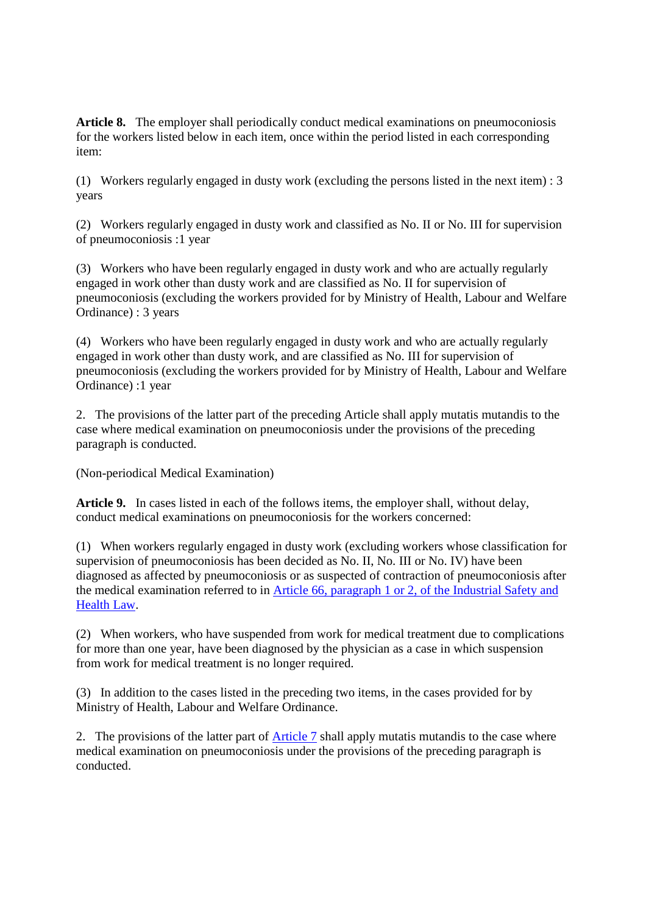**Article 8.** The employer shall periodically conduct medical examinations on pneumoconiosis for the workers listed below in each item, once within the period listed in each corresponding item:

(1) Workers regularly engaged in dusty work (excluding the persons listed in the next item) : 3 years

(2) Workers regularly engaged in dusty work and classified as No. II or No. III for supervision of pneumoconiosis :1 year

(3) Workers who have been regularly engaged in dusty work and who are actually regularly engaged in work other than dusty work and are classified as No. II for supervision of pneumoconiosis (excluding the workers provided for by Ministry of Health, Labour and Welfare Ordinance) : 3 years

(4) Workers who have been regularly engaged in dusty work and who are actually regularly engaged in work other than dusty work, and are classified as No. III for supervision of pneumoconiosis (excluding the workers provided for by Ministry of Health, Labour and Welfare Ordinance) :1 year

2. The provisions of the latter part of the preceding Article shall apply mutatis mutandis to the case where medical examination on pneumoconiosis under the provisions of the preceding paragraph is conducted.

(Non-periodical Medical Examination)

**Article 9.** In cases listed in each of the follows items, the employer shall, without delay, conduct medical examinations on pneumoconiosis for the workers concerned:

(1) When workers regularly engaged in dusty work (excluding workers whose classification for supervision of pneumoconiosis has been decided as No. II, No. III or No. IV) have been diagnosed as affected by pneumoconiosis or as suspected of contraction of pneumoconiosis after the medical examination referred to in Article 66, paragraph 1 or 2, of the Industrial Safety and Health Law.

(2) When workers, who have suspended from work for medical treatment due to complications for more than one year, have been diagnosed by the physician as a case in which suspension from work for medical treatment is no longer required.

(3) In addition to the cases listed in the preceding two items, in the cases provided for by Ministry of Health, Labour and Welfare Ordinance.

2. The provisions of the latter part of Article 7 shall apply mutatis mutandis to the case where medical examination on pneumoconiosis under the provisions of the preceding paragraph is conducted.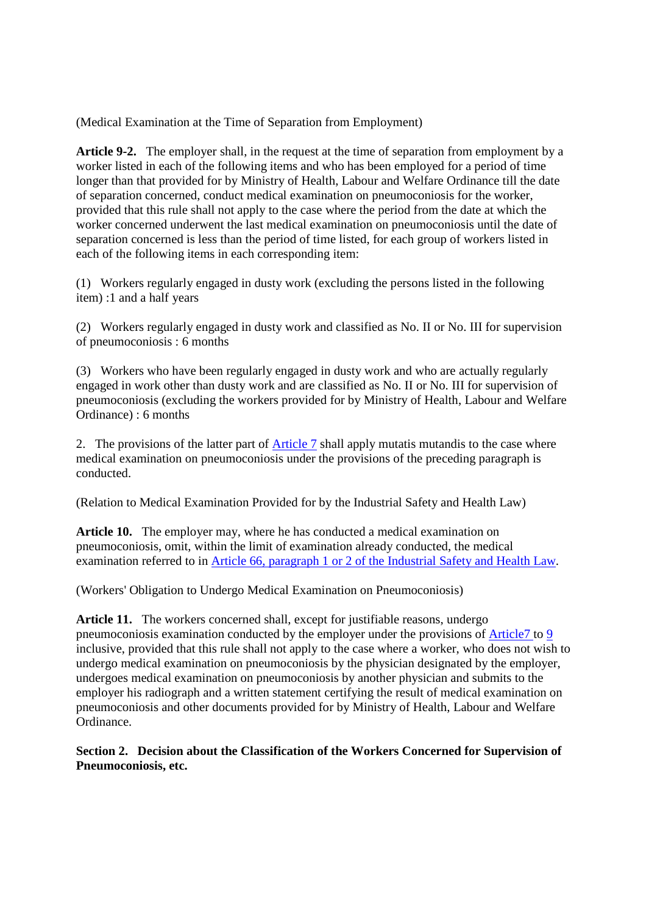(Medical Examination at the Time of Separation from Employment)

**Article 9-2.** The employer shall, in the request at the time of separation from employment by a worker listed in each of the following items and who has been employed for a period of time longer than that provided for by Ministry of Health, Labour and Welfare Ordinance till the date of separation concerned, conduct medical examination on pneumoconiosis for the worker, provided that this rule shall not apply to the case where the period from the date at which the worker concerned underwent the last medical examination on pneumoconiosis until the date of separation concerned is less than the period of time listed, for each group of workers listed in each of the following items in each corresponding item:

(1) Workers regularly engaged in dusty work (excluding the persons listed in the following item) :1 and a half years

(2) Workers regularly engaged in dusty work and classified as No. II or No. III for supervision of pneumoconiosis : 6 months

(3) Workers who have been regularly engaged in dusty work and who are actually regularly engaged in work other than dusty work and are classified as No. II or No. III for supervision of pneumoconiosis (excluding the workers provided for by Ministry of Health, Labour and Welfare Ordinance) : 6 months

2. The provisions of the latter part of **Article 7** shall apply mutatis mutandis to the case where medical examination on pneumoconiosis under the provisions of the preceding paragraph is conducted.

(Relation to Medical Examination Provided for by the Industrial Safety and Health Law)

**Article 10.** The employer may, where he has conducted a medical examination on pneumoconiosis, omit, within the limit of examination already conducted, the medical examination referred to in Article 66, paragraph 1 or 2 of the Industrial Safety and Health Law.

(Workers' Obligation to Undergo Medical Examination on Pneumoconiosis)

**Article 11.** The workers concerned shall, except for justifiable reasons, undergo pneumoconiosis examination conducted by the employer under the provisions of Article7 to 9 inclusive, provided that this rule shall not apply to the case where a worker, who does not wish to undergo medical examination on pneumoconiosis by the physician designated by the employer, undergoes medical examination on pneumoconiosis by another physician and submits to the employer his radiograph and a written statement certifying the result of medical examination on pneumoconiosis and other documents provided for by Ministry of Health, Labour and Welfare Ordinance.

**Section 2. Decision about the Classification of the Workers Concerned for Supervision of Pneumoconiosis, etc.**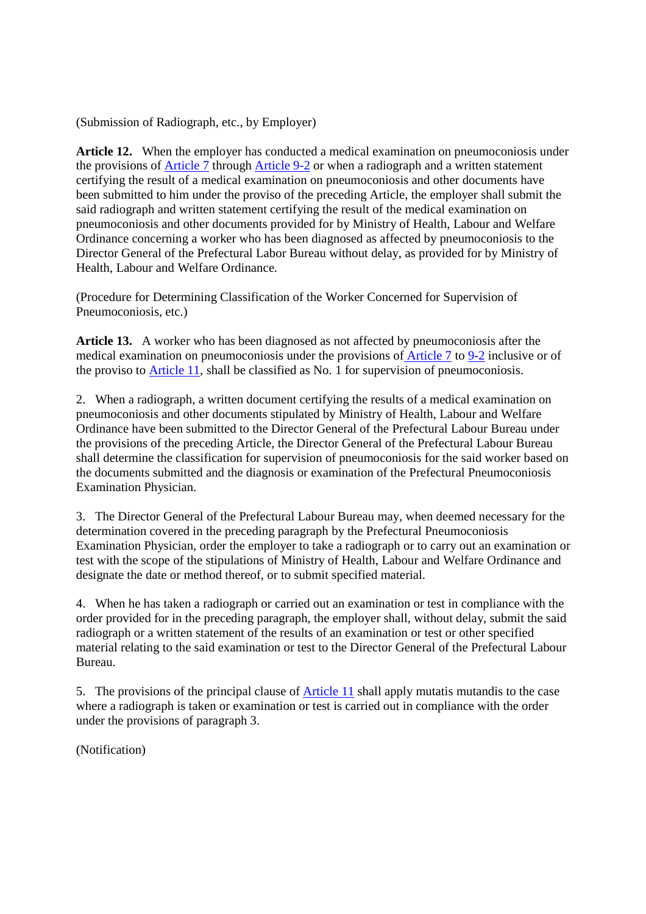(Submission of Radiograph, etc., by Employer)

**Article 12.** When the employer has conducted a medical examination on pneumoconiosis under the provisions of Article 7 through Article 9-2 or when a radiograph and a written statement certifying the result of a medical examination on pneumoconiosis and other documents have been submitted to him under the proviso of the preceding Article, the employer shall submit the said radiograph and written statement certifying the result of the medical examination on pneumoconiosis and other documents provided for by Ministry of Health, Labour and Welfare Ordinance concerning a worker who has been diagnosed as affected by pneumoconiosis to the Director General of the Prefectural Labor Bureau without delay, as provided for by Ministry of Health, Labour and Welfare Ordinance.

(Procedure for Determining Classification of the Worker Concerned for Supervision of Pneumoconiosis, etc.)

**Article 13.** A worker who has been diagnosed as not affected by pneumoconiosis after the medical examination on pneumoconiosis under the provisions of Article 7 to 9-2 inclusive or of the proviso to Article 11, shall be classified as No. 1 for supervision of pneumoconiosis.

2. When a radiograph, a written document certifying the results of a medical examination on pneumoconiosis and other documents stipulated by Ministry of Health, Labour and Welfare Ordinance have been submitted to the Director General of the Prefectural Labour Bureau under the provisions of the preceding Article, the Director General of the Prefectural Labour Bureau shall determine the classification for supervision of pneumoconiosis for the said worker based on the documents submitted and the diagnosis or examination of the Prefectural Pneumoconiosis Examination Physician.

3. The Director General of the Prefectural Labour Bureau may, when deemed necessary for the determination covered in the preceding paragraph by the Prefectural Pneumoconiosis Examination Physician, order the employer to take a radiograph or to carry out an examination or test with the scope of the stipulations of Ministry of Health, Labour and Welfare Ordinance and designate the date or method thereof, or to submit specified material.

4. When he has taken a radiograph or carried out an examination or test in compliance with the order provided for in the preceding paragraph, the employer shall, without delay, submit the said radiograph or a written statement of the results of an examination or test or other specified material relating to the said examination or test to the Director General of the Prefectural Labour Bureau.

5. The provisions of the principal clause of Article 11 shall apply mutatis mutandis to the case where a radiograph is taken or examination or test is carried out in compliance with the order under the provisions of paragraph 3.

(Notification)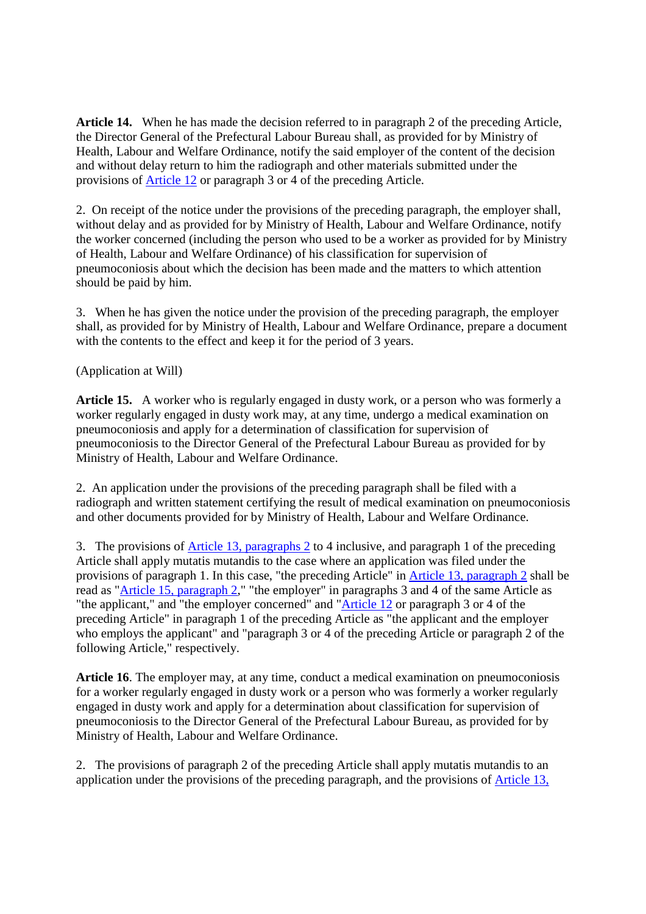**Article 14.** When he has made the decision referred to in paragraph 2 of the preceding Article, the Director General of the Prefectural Labour Bureau shall, as provided for by Ministry of Health, Labour and Welfare Ordinance, notify the said employer of the content of the decision and without delay return to him the radiograph and other materials submitted under the provisions of Article 12 or paragraph 3 or 4 of the preceding Article.

2. On receipt of the notice under the provisions of the preceding paragraph, the employer shall, without delay and as provided for by Ministry of Health, Labour and Welfare Ordinance, notify the worker concerned (including the person who used to be a worker as provided for by Ministry of Health, Labour and Welfare Ordinance) of his classification for supervision of pneumoconiosis about which the decision has been made and the matters to which attention should be paid by him.

3. When he has given the notice under the provision of the preceding paragraph, the employer shall, as provided for by Ministry of Health, Labour and Welfare Ordinance, prepare a document with the contents to the effect and keep it for the period of 3 years.

(Application at Will)

**Article 15.** A worker who is regularly engaged in dusty work, or a person who was formerly a worker regularly engaged in dusty work may, at any time, undergo a medical examination on pneumoconiosis and apply for a determination of classification for supervision of pneumoconiosis to the Director General of the Prefectural Labour Bureau as provided for by Ministry of Health, Labour and Welfare Ordinance.

2. An application under the provisions of the preceding paragraph shall be filed with a radiograph and written statement certifying the result of medical examination on pneumoconiosis and other documents provided for by Ministry of Health, Labour and Welfare Ordinance.

3. The provisions of Article 13, paragraphs 2 to 4 inclusive, and paragraph 1 of the preceding Article shall apply mutatis mutandis to the case where an application was filed under the provisions of paragraph 1. In this case, "the preceding Article" in Article 13, paragraph 2 shall be read as "Article 15, paragraph 2," "the employer" in paragraphs 3 and 4 of the same Article as "the applicant," and "the employer concerned" and "Article 12 or paragraph 3 or 4 of the preceding Article" in paragraph 1 of the preceding Article as "the applicant and the employer who employs the applicant" and "paragraph 3 or 4 of the preceding Article or paragraph 2 of the following Article," respectively.

**Article 16**. The employer may, at any time, conduct a medical examination on pneumoconiosis for a worker regularly engaged in dusty work or a person who was formerly a worker regularly engaged in dusty work and apply for a determination about classification for supervision of pneumoconiosis to the Director General of the Prefectural Labour Bureau, as provided for by Ministry of Health, Labour and Welfare Ordinance.

2. The provisions of paragraph 2 of the preceding Article shall apply mutatis mutandis to an application under the provisions of the preceding paragraph, and the provisions of Article 13,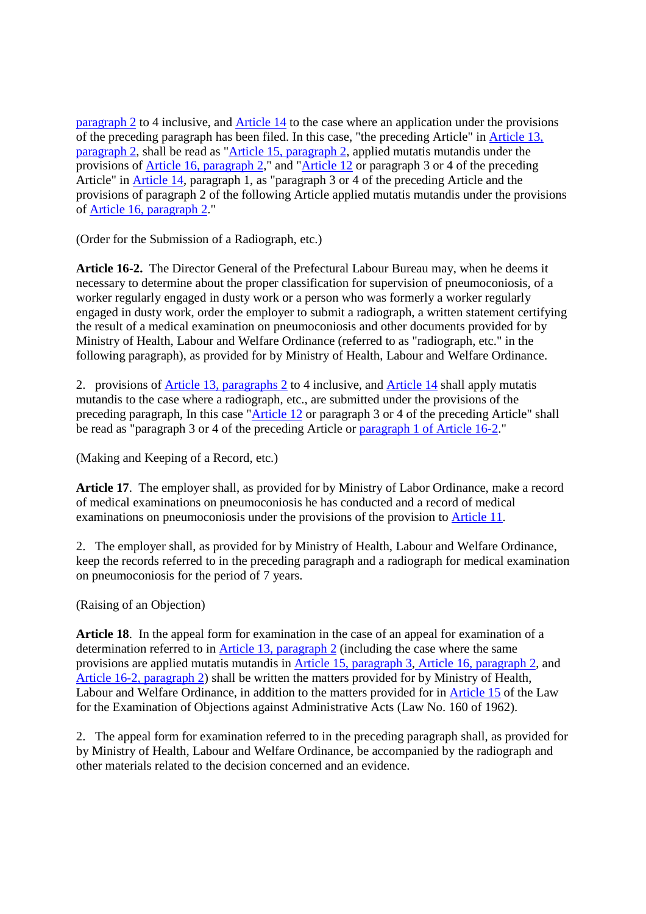paragraph 2 to 4 inclusive, and Article 14 to the case where an application under the provisions of the preceding paragraph has been filed. In this case, "the preceding Article" in Article 13, paragraph 2, shall be read as "Article 15, paragraph 2, applied mutatis mutandis under the provisions of Article 16, paragraph 2," and "Article 12 or paragraph 3 or 4 of the preceding Article" in Article 14, paragraph 1, as "paragraph 3 or 4 of the preceding Article and the provisions of paragraph 2 of the following Article applied mutatis mutandis under the provisions of Article 16, paragraph 2."

(Order for the Submission of a Radiograph, etc.)

**Article 16-2.** The Director General of the Prefectural Labour Bureau may, when he deems it necessary to determine about the proper classification for supervision of pneumoconiosis, of a worker regularly engaged in dusty work or a person who was formerly a worker regularly engaged in dusty work, order the employer to submit a radiograph, a written statement certifying the result of a medical examination on pneumoconiosis and other documents provided for by Ministry of Health, Labour and Welfare Ordinance (referred to as "radiograph, etc." in the following paragraph), as provided for by Ministry of Health, Labour and Welfare Ordinance.

2. provisions of Article 13, paragraphs 2 to 4 inclusive, and Article 14 shall apply mutatis mutandis to the case where a radiograph, etc., are submitted under the provisions of the preceding paragraph, In this case "Article 12 or paragraph 3 or 4 of the preceding Article" shall be read as "paragraph 3 or 4 of the preceding Article or paragraph 1 of Article 16-2."

(Making and Keeping of a Record, etc.)

**Article 17**. The employer shall, as provided for by Ministry of Labor Ordinance, make a record of medical examinations on pneumoconiosis he has conducted and a record of medical examinations on pneumoconiosis under the provisions of the provision to Article 11.

2. The employer shall, as provided for by Ministry of Health, Labour and Welfare Ordinance, keep the records referred to in the preceding paragraph and a radiograph for medical examination on pneumoconiosis for the period of 7 years.

(Raising of an Objection)

**Article 18**. In the appeal form for examination in the case of an appeal for examination of a determination referred to in Article 13, paragraph 2 (including the case where the same provisions are applied mutatis mutandis in Article 15, paragraph 3, Article 16, paragraph 2, and Article 16-2, paragraph 2) shall be written the matters provided for by Ministry of Health, Labour and Welfare Ordinance, in addition to the matters provided for in Article 15 of the Law for the Examination of Objections against Administrative Acts (Law No. 160 of 1962).

2. The appeal form for examination referred to in the preceding paragraph shall, as provided for by Ministry of Health, Labour and Welfare Ordinance, be accompanied by the radiograph and other materials related to the decision concerned and an evidence.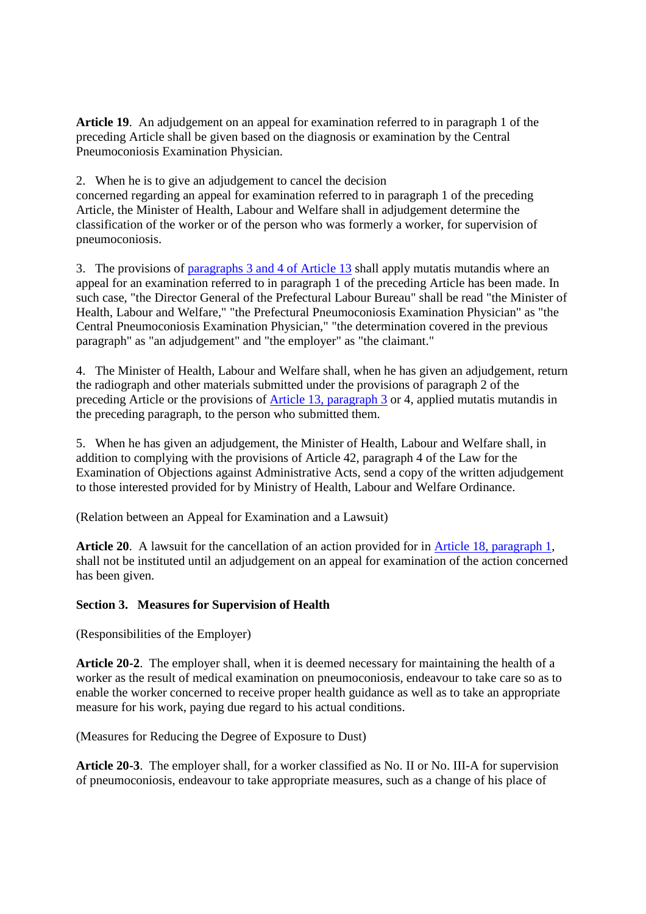**Article 19**. An adjudgement on an appeal for examination referred to in paragraph 1 of the preceding Article shall be given based on the diagnosis or examination by the Central Pneumoconiosis Examination Physician.

2. When he is to give an adjudgement to cancel the decision

concerned regarding an appeal for examination referred to in paragraph 1 of the preceding Article, the Minister of Health, Labour and Welfare shall in adjudgement determine the classification of the worker or of the person who was formerly a worker, for supervision of pneumoconiosis.

3. The provisions of paragraphs 3 and 4 of Article 13 shall apply mutatis mutandis where an appeal for an examination referred to in paragraph 1 of the preceding Article has been made. In such case, "the Director General of the Prefectural Labour Bureau" shall be read "the Minister of Health, Labour and Welfare," "the Prefectural Pneumoconiosis Examination Physician" as "the Central Pneumoconiosis Examination Physician," "the determination covered in the previous paragraph" as "an adjudgement" and "the employer" as "the claimant."

4. The Minister of Health, Labour and Welfare shall, when he has given an adjudgement, return the radiograph and other materials submitted under the provisions of paragraph 2 of the preceding Article or the provisions of Article 13, paragraph 3 or 4, applied mutatis mutandis in the preceding paragraph, to the person who submitted them.

5. When he has given an adjudgement, the Minister of Health, Labour and Welfare shall, in addition to complying with the provisions of Article 42, paragraph 4 of the Law for the Examination of Objections against Administrative Acts, send a copy of the written adjudgement to those interested provided for by Ministry of Health, Labour and Welfare Ordinance.

(Relation between an Appeal for Examination and a Lawsuit)

**Article 20**. A lawsuit for the cancellation of an action provided for in Article 18, paragraph 1, shall not be instituted until an adjudgement on an appeal for examination of the action concerned has been given.

# **Section 3. Measures for Supervision of Health**

(Responsibilities of the Employer)

**Article 20-2**. The employer shall, when it is deemed necessary for maintaining the health of a worker as the result of medical examination on pneumoconiosis, endeavour to take care so as to enable the worker concerned to receive proper health guidance as well as to take an appropriate measure for his work, paying due regard to his actual conditions.

(Measures for Reducing the Degree of Exposure to Dust)

**Article 20-3**. The employer shall, for a worker classified as No. II or No. III-A for supervision of pneumoconiosis, endeavour to take appropriate measures, such as a change of his place of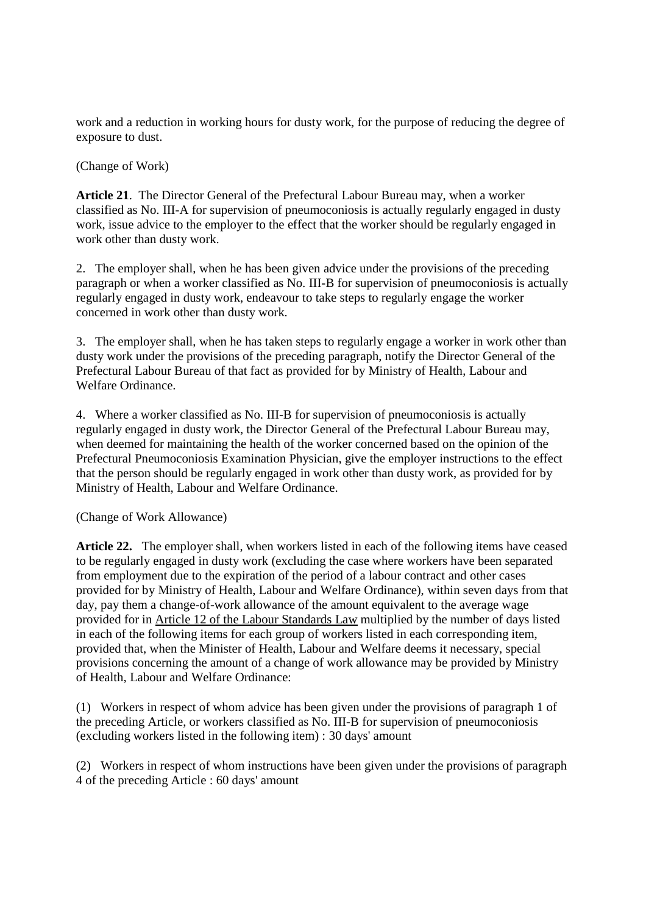work and a reduction in working hours for dusty work, for the purpose of reducing the degree of exposure to dust.

(Change of Work)

**Article 21**. The Director General of the Prefectural Labour Bureau may, when a worker classified as No. III-A for supervision of pneumoconiosis is actually regularly engaged in dusty work, issue advice to the employer to the effect that the worker should be regularly engaged in work other than dusty work.

2. The employer shall, when he has been given advice under the provisions of the preceding paragraph or when a worker classified as No. III-B for supervision of pneumoconiosis is actually regularly engaged in dusty work, endeavour to take steps to regularly engage the worker concerned in work other than dusty work.

3. The employer shall, when he has taken steps to regularly engage a worker in work other than dusty work under the provisions of the preceding paragraph, notify the Director General of the Prefectural Labour Bureau of that fact as provided for by Ministry of Health, Labour and Welfare Ordinance.

4. Where a worker classified as No. III-B for supervision of pneumoconiosis is actually regularly engaged in dusty work, the Director General of the Prefectural Labour Bureau may, when deemed for maintaining the health of the worker concerned based on the opinion of the Prefectural Pneumoconiosis Examination Physician, give the employer instructions to the effect that the person should be regularly engaged in work other than dusty work, as provided for by Ministry of Health, Labour and Welfare Ordinance.

(Change of Work Allowance)

**Article 22.** The employer shall, when workers listed in each of the following items have ceased to be regularly engaged in dusty work (excluding the case where workers have been separated from employment due to the expiration of the period of a labour contract and other cases provided for by Ministry of Health, Labour and Welfare Ordinance), within seven days from that day, pay them a change-of-work allowance of the amount equivalent to the average wage provided for in Article 12 of the Labour Standards Law multiplied by the number of days listed in each of the following items for each group of workers listed in each corresponding item, provided that, when the Minister of Health, Labour and Welfare deems it necessary, special provisions concerning the amount of a change of work allowance may be provided by Ministry of Health, Labour and Welfare Ordinance:

(1) Workers in respect of whom advice has been given under the provisions of paragraph 1 of the preceding Article, or workers classified as No. III-B for supervision of pneumoconiosis (excluding workers listed in the following item) : 30 days' amount

(2) Workers in respect of whom instructions have been given under the provisions of paragraph 4 of the preceding Article : 60 days' amount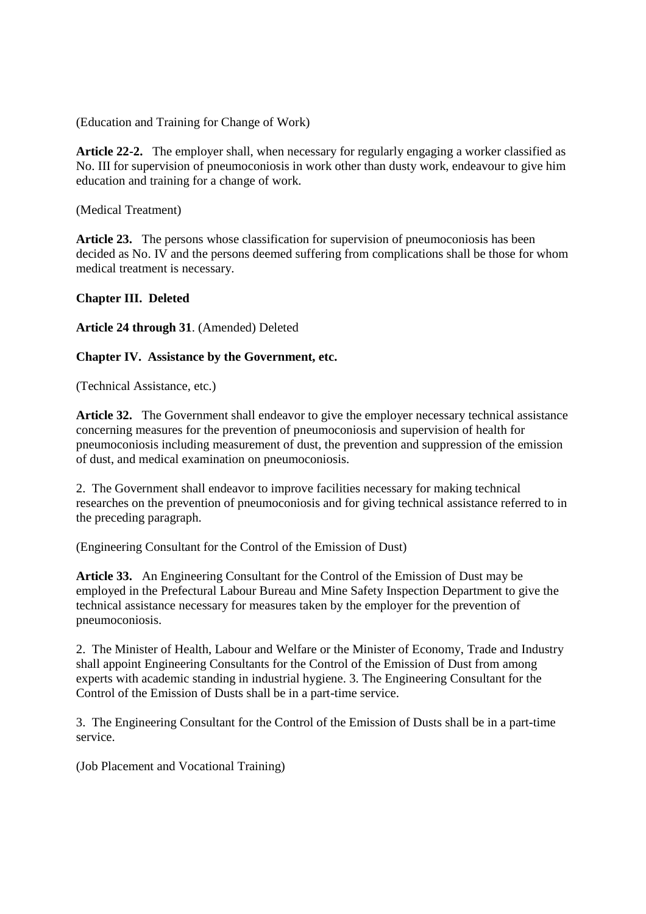(Education and Training for Change of Work)

**Article 22-2.** The employer shall, when necessary for regularly engaging a worker classified as No. III for supervision of pneumoconiosis in work other than dusty work, endeavour to give him education and training for a change of work.

(Medical Treatment)

Article 23. The persons whose classification for supervision of pneumoconiosis has been decided as No. IV and the persons deemed suffering from complications shall be those for whom medical treatment is necessary.

### **Chapter III. Deleted**

**Article 24 through 31**. (Amended) Deleted

### **Chapter IV. Assistance by the Government, etc.**

(Technical Assistance, etc.)

**Article 32.** The Government shall endeavor to give the employer necessary technical assistance concerning measures for the prevention of pneumoconiosis and supervision of health for pneumoconiosis including measurement of dust, the prevention and suppression of the emission of dust, and medical examination on pneumoconiosis.

2. The Government shall endeavor to improve facilities necessary for making technical researches on the prevention of pneumoconiosis and for giving technical assistance referred to in the preceding paragraph.

(Engineering Consultant for the Control of the Emission of Dust)

**Article 33.** An Engineering Consultant for the Control of the Emission of Dust may be employed in the Prefectural Labour Bureau and Mine Safety Inspection Department to give the technical assistance necessary for measures taken by the employer for the prevention of pneumoconiosis.

2. The Minister of Health, Labour and Welfare or the Minister of Economy, Trade and Industry shall appoint Engineering Consultants for the Control of the Emission of Dust from among experts with academic standing in industrial hygiene. 3. The Engineering Consultant for the Control of the Emission of Dusts shall be in a part-time service.

3. The Engineering Consultant for the Control of the Emission of Dusts shall be in a part-time service.

(Job Placement and Vocational Training)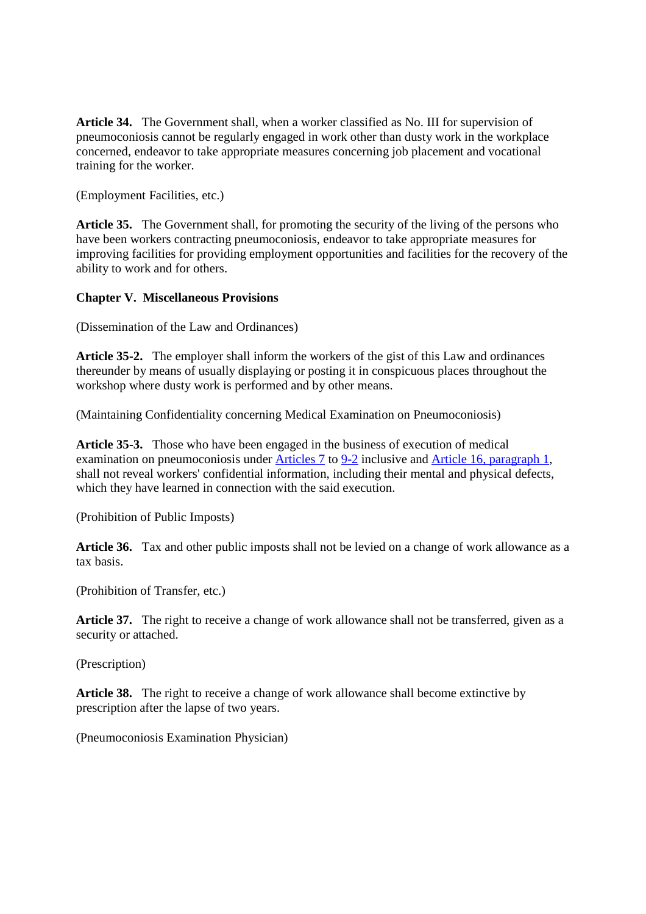**Article 34.** The Government shall, when a worker classified as No. III for supervision of pneumoconiosis cannot be regularly engaged in work other than dusty work in the workplace concerned, endeavor to take appropriate measures concerning job placement and vocational training for the worker.

(Employment Facilities, etc.)

**Article 35.** The Government shall, for promoting the security of the living of the persons who have been workers contracting pneumoconiosis, endeavor to take appropriate measures for improving facilities for providing employment opportunities and facilities for the recovery of the ability to work and for others.

### **Chapter V. Miscellaneous Provisions**

(Dissemination of the Law and Ordinances)

**Article 35-2.** The employer shall inform the workers of the gist of this Law and ordinances thereunder by means of usually displaying or posting it in conspicuous places throughout the workshop where dusty work is performed and by other means.

(Maintaining Confidentiality concerning Medical Examination on Pneumoconiosis)

**Article 35-3.** Those who have been engaged in the business of execution of medical examination on pneumoconiosis under Articles 7 to 9-2 inclusive and Article 16, paragraph 1, shall not reveal workers' confidential information, including their mental and physical defects, which they have learned in connection with the said execution.

(Prohibition of Public Imposts)

**Article 36.** Tax and other public imposts shall not be levied on a change of work allowance as a tax basis.

(Prohibition of Transfer, etc.)

Article 37. The right to receive a change of work allowance shall not be transferred, given as a security or attached.

(Prescription)

**Article 38.** The right to receive a change of work allowance shall become extinctive by prescription after the lapse of two years.

(Pneumoconiosis Examination Physician)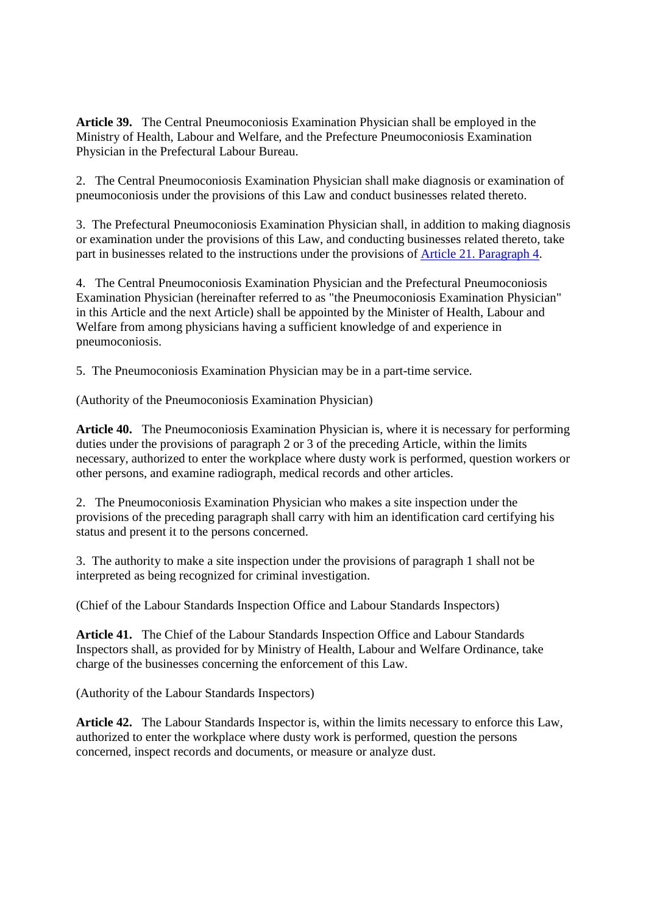**Article 39.** The Central Pneumoconiosis Examination Physician shall be employed in the Ministry of Health, Labour and Welfare, and the Prefecture Pneumoconiosis Examination Physician in the Prefectural Labour Bureau.

2. The Central Pneumoconiosis Examination Physician shall make diagnosis or examination of pneumoconiosis under the provisions of this Law and conduct businesses related thereto.

3. The Prefectural Pneumoconiosis Examination Physician shall, in addition to making diagnosis or examination under the provisions of this Law, and conducting businesses related thereto, take part in businesses related to the instructions under the provisions of Article 21. Paragraph 4.

4. The Central Pneumoconiosis Examination Physician and the Prefectural Pneumoconiosis Examination Physician (hereinafter referred to as "the Pneumoconiosis Examination Physician" in this Article and the next Article) shall be appointed by the Minister of Health, Labour and Welfare from among physicians having a sufficient knowledge of and experience in pneumoconiosis.

5. The Pneumoconiosis Examination Physician may be in a part-time service.

(Authority of the Pneumoconiosis Examination Physician)

**Article 40.** The Pneumoconiosis Examination Physician is, where it is necessary for performing duties under the provisions of paragraph 2 or 3 of the preceding Article, within the limits necessary, authorized to enter the workplace where dusty work is performed, question workers or other persons, and examine radiograph, medical records and other articles.

2. The Pneumoconiosis Examination Physician who makes a site inspection under the provisions of the preceding paragraph shall carry with him an identification card certifying his status and present it to the persons concerned.

3. The authority to make a site inspection under the provisions of paragraph 1 shall not be interpreted as being recognized for criminal investigation.

(Chief of the Labour Standards Inspection Office and Labour Standards Inspectors)

**Article 41.** The Chief of the Labour Standards Inspection Office and Labour Standards Inspectors shall, as provided for by Ministry of Health, Labour and Welfare Ordinance, take charge of the businesses concerning the enforcement of this Law.

(Authority of the Labour Standards Inspectors)

**Article 42.** The Labour Standards Inspector is, within the limits necessary to enforce this Law, authorized to enter the workplace where dusty work is performed, question the persons concerned, inspect records and documents, or measure or analyze dust.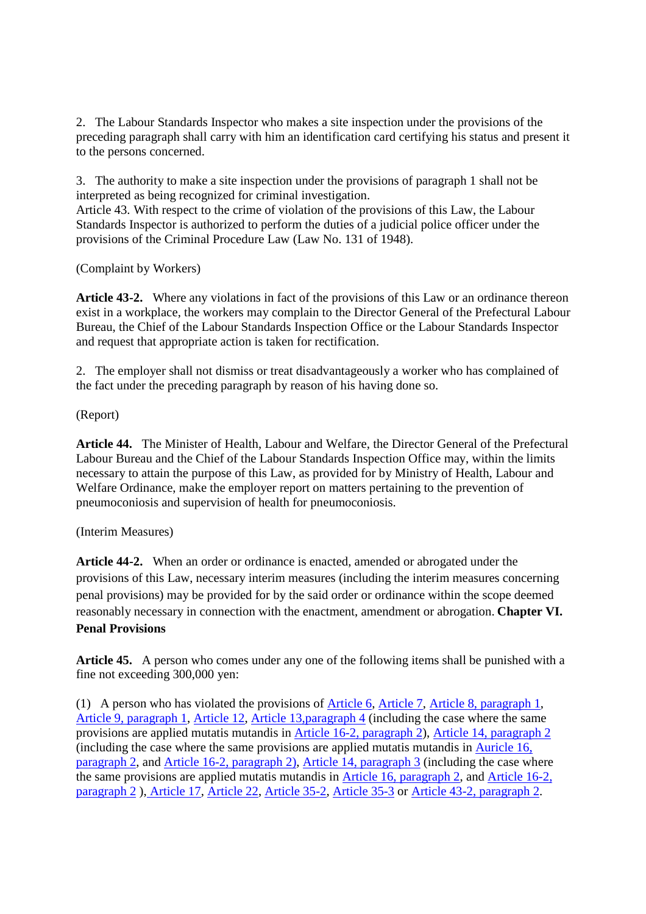2. The Labour Standards Inspector who makes a site inspection under the provisions of the preceding paragraph shall carry with him an identification card certifying his status and present it to the persons concerned.

3. The authority to make a site inspection under the provisions of paragraph 1 shall not be interpreted as being recognized for criminal investigation.

Article 43. With respect to the crime of violation of the provisions of this Law, the Labour Standards Inspector is authorized to perform the duties of a judicial police officer under the provisions of the Criminal Procedure Law (Law No. 131 of 1948).

(Complaint by Workers)

**Article 43-2.** Where any violations in fact of the provisions of this Law or an ordinance thereon exist in a workplace, the workers may complain to the Director General of the Prefectural Labour Bureau, the Chief of the Labour Standards Inspection Office or the Labour Standards Inspector and request that appropriate action is taken for rectification.

2. The employer shall not dismiss or treat disadvantageously a worker who has complained of the fact under the preceding paragraph by reason of his having done so.

(Report)

**Article 44.** The Minister of Health, Labour and Welfare, the Director General of the Prefectural Labour Bureau and the Chief of the Labour Standards Inspection Office may, within the limits necessary to attain the purpose of this Law, as provided for by Ministry of Health, Labour and Welfare Ordinance, make the employer report on matters pertaining to the prevention of pneumoconiosis and supervision of health for pneumoconiosis.

# (Interim Measures)

**Article 44-2.** When an order or ordinance is enacted, amended or abrogated under the provisions of this Law, necessary interim measures (including the interim measures concerning penal provisions) may be provided for by the said order or ordinance within the scope deemed reasonably necessary in connection with the enactment, amendment or abrogation. **Chapter VI. Penal Provisions**

**Article 45.** A person who comes under any one of the following items shall be punished with a fine not exceeding 300,000 yen:

(1) A person who has violated the provisions of Article 6, Article 7, Article 8, paragraph 1, Article 9, paragraph 1, Article 12, Article 13,paragraph 4 (including the case where the same provisions are applied mutatis mutandis in Article 16-2, paragraph 2), Article 14, paragraph 2 (including the case where the same provisions are applied mutatis mutandis in Auricle 16, paragraph 2, and Article 16-2, paragraph 2), Article 14, paragraph 3 (including the case where the same provisions are applied mutatis mutandis in Article 16, paragraph 2, and Article 16-2, paragraph 2 ), Article 17, Article 22, Article 35-2, Article 35-3 or Article 43-2, paragraph 2.